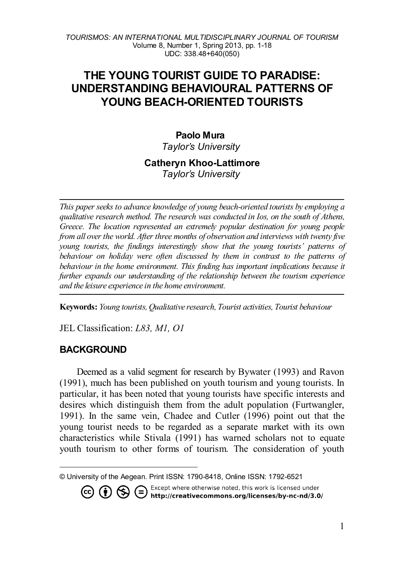# **THE YOUNG TOURIST GUIDE TO PARADISE: UNDERSTANDING BEHAVIOURAL PATTERNS OF YOUNG BEACH-ORIENTED TOURISTS**

## **Paolo Mura[1](#page-0-0)** *Taylor's University*

# **Catheryn Khoo-Lattimore**

*Taylor's University*

*This paper seeks to advance knowledge of young beach-oriented tourists by employing a qualitative research method. The research was conducted in Ios, on the south of Athens, Greece. The location represented an extremely popular destination for young people from all over the world. After three months of observation and interviews with twenty five young tourists, the findings interestingly show that the young tourists' patterns of behaviour on holiday were often discussed by them in contrast to the patterns of behaviour in the home environment. This finding has important implications because it further expands our understanding of the relationship between the tourism experience and the leisure experience in the home environment.* 

**Keywords:** *Young tourists, Qualitative research, Tourist activities, Tourist behaviour*

JEL Classification: *L83, M1, O1*

### **BACKGROUND**

Deemed as a valid segment for research by Bywater (1993) and Ravon (1991), much has been published on youth tourism and young tourists. In particular, it has been noted that young tourists have specific interests and desires which distinguish them from the adult population (Furtwangler, 1991). In the same vein, Chadee and Cutler (1996) point out that the young tourist needs to be regarded as a separate market with its own characteristics while Stivala (1991) has warned scholars not to equate youth tourism to other forms of tourism. The consideration of youth

**CO CO SEXCEPT Where otherwise noted, this work is licensed under** (CO CO http://creativecommons.org/licenses/by-nc-nd/3.0/

<span id="page-0-0"></span>l © University of the Aegean. Print ISSN: 1790-8418, Online ISSN: 1792-6521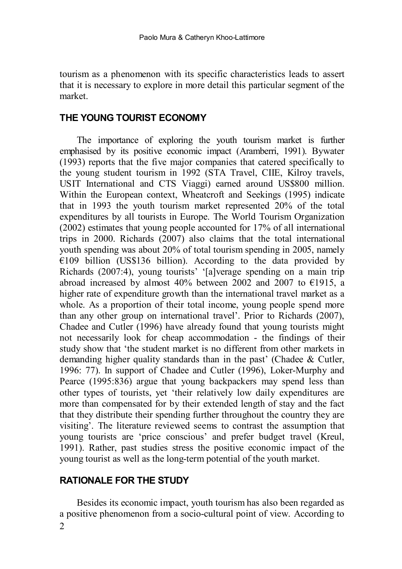tourism as a phenomenon with its specific characteristics leads to assert that it is necessary to explore in more detail this particular segment of the market.

### **THE YOUNG TOURIST ECONOMY**

The importance of exploring the youth tourism market is further emphasised by its positive economic impact (Aramberri, 1991). Bywater (1993) reports that the five major companies that catered specifically to the young student tourism in 1992 (STA Travel, CIIE, Kilroy travels, USIT International and CTS Viaggi) earned around US\$800 million. Within the European context, Wheatcroft and Seekings (1995) indicate that in 1993 the youth tourism market represented 20% of the total expenditures by all tourists in Europe. The World Tourism Organization (2002) estimates that young people accounted for 17% of all international trips in 2000. Richards (2007) also claims that the total international youth spending was about 20% of total tourism spending in 2005, namely  $E109$  billion (US\$136 billion). According to the data provided by Richards (2007:4), young tourists' '[a]verage spending on a main trip abroad increased by almost 40% between 2002 and 2007 to  $€1915$ , a higher rate of expenditure growth than the international travel market as a whole. As a proportion of their total income, young people spend more than any other group on international travel'. Prior to Richards (2007), Chadee and Cutler (1996) have already found that young tourists might not necessarily look for cheap accommodation - the findings of their study show that 'the student market is no different from other markets in demanding higher quality standards than in the past' (Chadee & Cutler, 1996: 77). In support of Chadee and Cutler (1996), Loker-Murphy and Pearce (1995:836) argue that young backpackers may spend less than other types of tourists, yet 'their relatively low daily expenditures are more than compensated for by their extended length of stay and the fact that they distribute their spending further throughout the country they are visiting'. The literature reviewed seems to contrast the assumption that young tourists are 'price conscious' and prefer budget travel (Kreul, 1991). Rather, past studies stress the positive economic impact of the young tourist as well as the long-term potential of the youth market.

### **RATIONALE FOR THE STUDY**

2 Besides its economic impact, youth tourism has also been regarded as a positive phenomenon from a socio-cultural point of view. According to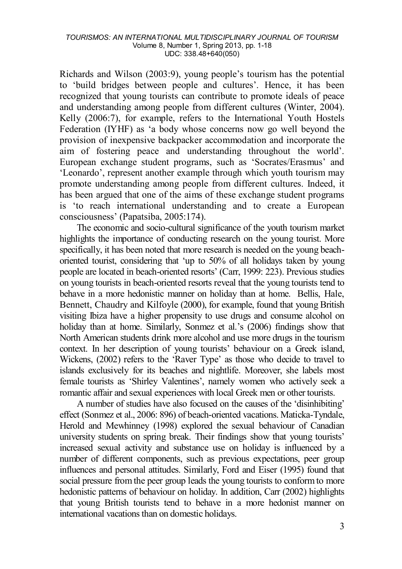Richards and Wilson (2003:9), young people's tourism has the potential to 'build bridges between people and cultures'. Hence, it has been recognized that young tourists can contribute to promote ideals of peace and understanding among people from different cultures (Winter, 2004). Kelly (2006:7), for example, refers to the International Youth Hostels Federation (IYHF) as 'a body whose concerns now go well beyond the provision of inexpensive backpacker accommodation and incorporate the aim of fostering peace and understanding throughout the world'. European exchange student programs, such as 'Socrates/Erasmus' and 'Leonardo', represent another example through which youth tourism may promote understanding among people from different cultures. Indeed, it has been argued that one of the aims of these exchange student programs is 'to reach international understanding and to create a European consciousness' (Papatsiba, 2005:174).

The economic and socio-cultural significance of the youth tourism market highlights the importance of conducting research on the young tourist. More specifically, it has been noted that more research is needed on the young beachoriented tourist, considering that 'up to 50% of all holidays taken by young people are located in beach-oriented resorts' (Carr, 1999: 223). Previous studies on young tourists in beach-oriented resorts reveal that the young tourists tend to behave in a more hedonistic manner on holiday than at home. Bellis, Hale, Bennett, Chaudry and Kilfoyle (2000), for example, found that young British visiting Ibiza have a higher propensity to use drugs and consume alcohol on holiday than at home. Similarly, Sonmez et al.'s (2006) findings show that North American students drink more alcohol and use more drugs in the tourism context. In her description of young tourists' behaviour on a Greek island, Wickens, (2002) refers to the 'Raver Type' as those who decide to travel to islands exclusively for its beaches and nightlife. Moreover, she labels most female tourists as 'Shirley Valentines', namely women who actively seek a romantic affair and sexual experiences with local Greek men or other tourists.

A number of studies have also focused on the causes of the 'disinhibiting' effect (Sonmez et al., 2006: 896) of beach-oriented vacations. Maticka-Tyndale, Herold and Mewhinney (1998) explored the sexual behaviour of Canadian university students on spring break. Their findings show that young tourists' increased sexual activity and substance use on holiday is influenced by a number of different components, such as previous expectations, peer group influences and personal attitudes. Similarly, Ford and Eiser (1995) found that social pressure from the peer group leads the young tourists to conform to more hedonistic patterns of behaviour on holiday. In addition, Carr (2002) highlights that young British tourists tend to behave in a more hedonist manner on international vacations than on domestic holidays.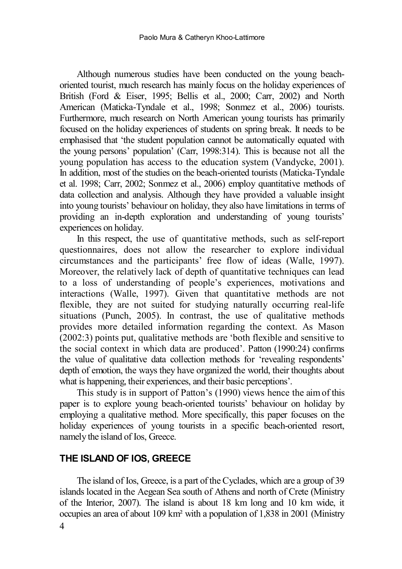Although numerous studies have been conducted on the young beachoriented tourist, much research has mainly focus on the holiday experiences of British (Ford & Eiser, 1995; Bellis et al., 2000; Carr, 2002) and North American (Maticka-Tyndale et al., 1998; Sonmez et al., 2006) tourists. Furthermore, much research on North American young tourists has primarily focused on the holiday experiences of students on spring break. It needs to be emphasised that 'the student population cannot be automatically equated with the young persons' population' (Carr, 1998:314). This is because not all the young population has access to the education system (Vandycke, 2001). In addition, most of the studies on the beach-oriented tourists (Maticka-Tyndale et al. 1998; Carr, 2002; Sonmez et al., 2006) employ quantitative methods of data collection and analysis. Although they have provided a valuable insight into young tourists' behaviour on holiday, they also have limitations in terms of providing an in-depth exploration and understanding of young tourists' experiences on holiday.

In this respect, the use of quantitative methods, such as self-report questionnaires, does not allow the researcher to explore individual circumstances and the participants' free flow of ideas (Walle, 1997). Moreover, the relatively lack of depth of quantitative techniques can lead to a loss of understanding of people's experiences, motivations and interactions (Walle, 1997). Given that quantitative methods are not flexible, they are not suited for studying naturally occurring real-life situations (Punch, 2005). In contrast, the use of qualitative methods provides more detailed information regarding the context. As Mason (2002:3) points put, qualitative methods are 'both flexible and sensitive to the social context in which data are produced'. Patton (1990:24) confirms the value of qualitative data collection methods for 'revealing respondents' depth of emotion, the ways they have organized the world, their thoughts about what is happening, their experiences, and their basic perceptions'.

This study is in support of Patton's (1990) views hence the aim of this paper is to explore young beach-oriented tourists' behaviour on holiday by employing a qualitative method. More specifically, this paper focuses on the holiday experiences of young tourists in a specific beach-oriented resort, namely the island of Ios, Greece.

### **THE ISLAND OF IOS, GREECE**

The island of Ios, Greece, is a part of the Cyclades, which are a group of 39 islands located in the Aegean Sea south of Athens and north of Crete (Ministry of the Interior, 2007). The island is about 18 km long and 10 km wide, it occupies an area of about 109 km² with a population of 1,838 in 2001 (Ministry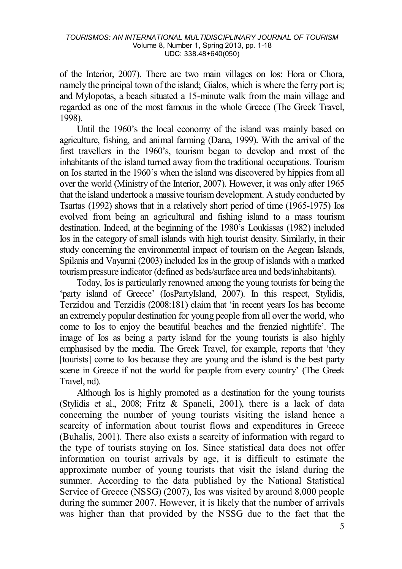of the Interior, 2007). There are two main villages on Ios: Hora or Chora, namely the principal town of the island; Gialos, which is where the ferry port is; and Mylopotas, a beach situated a 15-minute walk from the main village and regarded as one of the most famous in the whole Greece (The Greek Travel, 1998).

Until the 1960's the local economy of the island was mainly based on agriculture, fishing, and animal farming (Dana, 1999). With the arrival of the first travellers in the 1960's, tourism began to develop and most of the inhabitants of the island turned away from the traditional occupations. Tourism on Ios started in the 1960's when the island was discovered by hippies from all over the world (Ministry of the Interior, 2007). However, it was only after 1965 that the island undertook a massive tourism development. A study conducted by Tsartas (1992) shows that in a relatively short period of time (1965-1975) Ios evolved from being an agricultural and fishing island to a mass tourism destination. Indeed, at the beginning of the 1980's Loukissas (1982) included Ios in the category of small islands with high tourist density. Similarly, in their study concerning the environmental impact of tourism on the Aegean Islands, Spilanis and Vayanni (2003) included Ios in the group of islands with a marked tourism pressure indicator (defined as beds/surface area and beds/inhabitants).

Today, Ios is particularly renowned among the young tourists for being the 'party island of Greece' (IosPartyIsland, 2007). In this respect, Stylidis, Terzidou and Terzidis (2008:181) claim that 'in recent years Ios has become an extremely popular destination for young people from all over the world, who come to Ios to enjoy the beautiful beaches and the frenzied nightlife'. The image of Ios as being a party island for the young tourists is also highly emphasised by the media. The Greek Travel, for example, reports that 'they [tourists] come to Ios because they are young and the island is the best party scene in Greece if not the world for people from every country' (The Greek Travel, nd).

Although Ios is highly promoted as a destination for the young tourists (Stylidis et al., 2008; Fritz & Spaneli, 2001), there is a lack of data concerning the number of young tourists visiting the island hence a scarcity of information about tourist flows and expenditures in Greece (Buhalis, 2001). There also exists a scarcity of information with regard to the type of tourists staying on Ios. Since statistical data does not offer information on tourist arrivals by age, it is difficult to estimate the approximate number of young tourists that visit the island during the summer. According to the data published by the National Statistical Service of Greece (NSSG) (2007), Ios was visited by around 8,000 people during the summer 2007. However, it is likely that the number of arrivals was higher than that provided by the NSSG due to the fact that the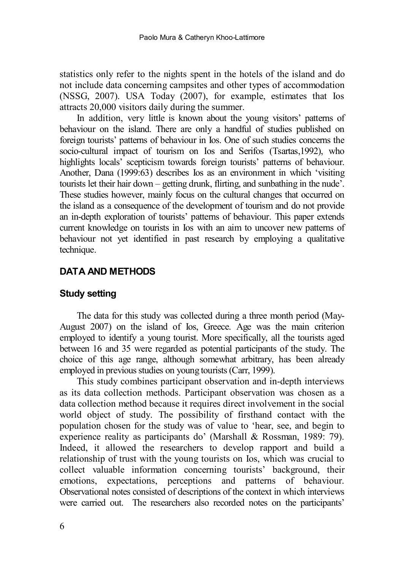statistics only refer to the nights spent in the hotels of the island and do not include data concerning campsites and other types of accommodation (NSSG, 2007). USA Today (2007), for example, estimates that Ios attracts 20,000 visitors daily during the summer.

In addition, very little is known about the young visitors' patterns of behaviour on the island. There are only a handful of studies published on foreign tourists' patterns of behaviour in Ios. One of such studies concerns the socio-cultural impact of tourism on Ios and Serifos (Tsartas,1992), who highlights locals' scepticism towards foreign tourists' patterns of behaviour. Another, Dana (1999:63) describes Ios as an environment in which 'visiting tourists let their hair down – getting drunk, flirting, and sunbathing in the nude'. These studies however, mainly focus on the cultural changes that occurred on the island as a consequence of the development of tourism and do not provide an in-depth exploration of tourists' patterns of behaviour. This paper extends current knowledge on tourists in Ios with an aim to uncover new patterns of behaviour not yet identified in past research by employing a qualitative technique.

### **DATA AND METHODS**

### **Study setting**

The data for this study was collected during a three month period (May-August 2007) on the island of Ios, Greece. Age was the main criterion employed to identify a young tourist. More specifically, all the tourists aged between 16 and 35 were regarded as potential participants of the study. The choice of this age range, although somewhat arbitrary, has been already employed in previous studies on young tourists (Carr, 1999).

This study combines participant observation and in-depth interviews as its data collection methods. Participant observation was chosen as a data collection method because it requires direct involvement in the social world object of study. The possibility of firsthand contact with the population chosen for the study was of value to 'hear, see, and begin to experience reality as participants do' (Marshall & Rossman, 1989: 79). Indeed, it allowed the researchers to develop rapport and build a relationship of trust with the young tourists on Ios, which was crucial to collect valuable information concerning tourists' background, their emotions, expectations, perceptions and patterns of behaviour. Observational notes consisted of descriptions of the context in which interviews were carried out. The researchers also recorded notes on the participants'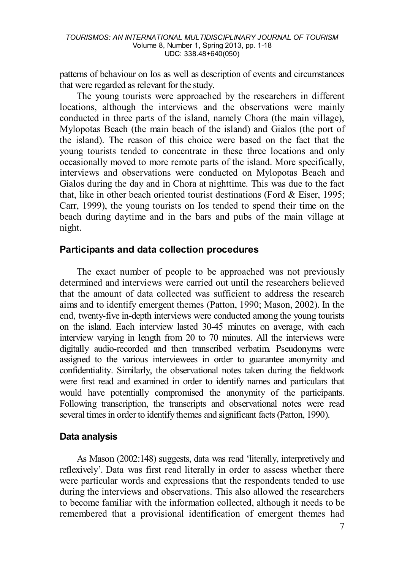patterns of behaviour on Ios as well as description of events and circumstances that were regarded as relevant for the study.

The young tourists were approached by the researchers in different locations, although the interviews and the observations were mainly conducted in three parts of the island, namely Chora (the main village), Mylopotas Beach (the main beach of the island) and Gialos (the port of the island). The reason of this choice were based on the fact that the young tourists tended to concentrate in these three locations and only occasionally moved to more remote parts of the island. More specifically, interviews and observations were conducted on Mylopotas Beach and Gialos during the day and in Chora at nighttime. This was due to the fact that, like in other beach oriented tourist destinations (Ford & Eiser, 1995; Carr, 1999), the young tourists on Ios tended to spend their time on the beach during daytime and in the bars and pubs of the main village at night.

### **Participants and data collection procedures**

The exact number of people to be approached was not previously determined and interviews were carried out until the researchers believed that the amount of data collected was sufficient to address the research aims and to identify emergent themes (Patton, 1990; Mason, 2002). In the end, twenty-five in-depth interviews were conducted among the young tourists on the island. Each interview lasted 30-45 minutes on average, with each interview varying in length from 20 to 70 minutes. All the interviews were digitally audio-recorded and then transcribed verbatim. Pseudonyms were assigned to the various interviewees in order to guarantee anonymity and confidentiality. Similarly, the observational notes taken during the fieldwork were first read and examined in order to identify names and particulars that would have potentially compromised the anonymity of the participants. Following transcription, the transcripts and observational notes were read several times in order to identify themes and significant facts (Patton, 1990).

### **Data analysis**

As Mason (2002:148) suggests, data was read 'literally, interpretively and reflexively'. Data was first read literally in order to assess whether there were particular words and expressions that the respondents tended to use during the interviews and observations. This also allowed the researchers to become familiar with the information collected, although it needs to be remembered that a provisional identification of emergent themes had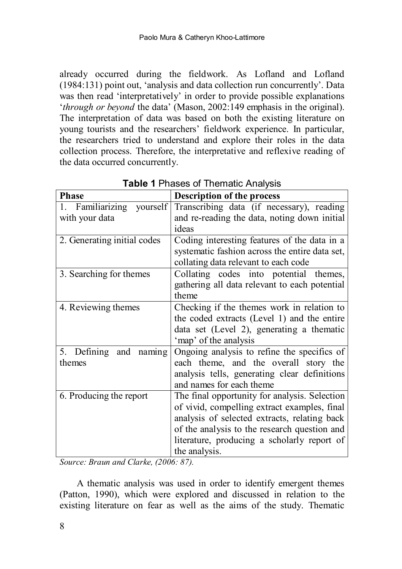already occurred during the fieldwork. As Lofland and Lofland (1984:131) point out, 'analysis and data collection run concurrently'. Data was then read 'interpretatively' in order to provide possible explanations '*through or beyond* the data' (Mason, 2002:149 emphasis in the original). The interpretation of data was based on both the existing literature on young tourists and the researchers' fieldwork experience. In particular, the researchers tried to understand and explore their roles in the data collection process. Therefore, the interpretative and reflexive reading of the data occurred concurrently.

| <b>Phase</b>                | <b>Description of the process</b>              |
|-----------------------------|------------------------------------------------|
| 1. Familiarizing yourself   | Transcribing data (if necessary), reading      |
| with your data              | and re-reading the data, noting down initial   |
|                             | ideas                                          |
| 2. Generating initial codes | Coding interesting features of the data in a   |
|                             | systematic fashion across the entire data set, |
|                             | collating data relevant to each code           |
| 3. Searching for themes     | Collating codes into potential themes,         |
|                             | gathering all data relevant to each potential  |
|                             | theme                                          |
| 4. Reviewing themes         | Checking if the themes work in relation to     |
|                             | the coded extracts (Level 1) and the entire    |
|                             | data set (Level 2), generating a thematic      |
|                             | 'map' of the analysis                          |
| 5. Defining and naming      | Ongoing analysis to refine the specifics of    |
| themes                      | each theme, and the overall story the          |
|                             | analysis tells, generating clear definitions   |
|                             | and names for each theme                       |
| 6. Producing the report     | The final opportunity for analysis. Selection  |
|                             | of vivid, compelling extract examples, final   |
|                             | analysis of selected extracts, relating back   |
|                             | of the analysis to the research question and   |
|                             | literature, producing a scholarly report of    |
|                             | the analysis.                                  |
|                             |                                                |

**Table 1** Phases of Thematic Analysis

*Source: Braun and Clarke, (2006: 87).*

A thematic analysis was used in order to identify emergent themes (Patton, 1990), which were explored and discussed in relation to the existing literature on fear as well as the aims of the study. Thematic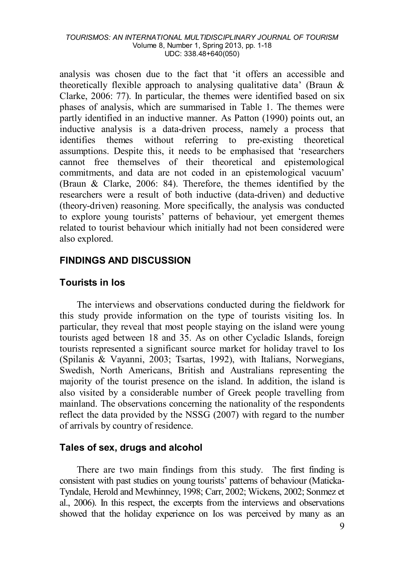analysis was chosen due to the fact that 'it offers an accessible and theoretically flexible approach to analysing qualitative data' (Braun  $\&$ Clarke, 2006: 77). In particular, the themes were identified based on six phases of analysis, which are summarised in Table 1. The themes were partly identified in an inductive manner. As Patton (1990) points out, an inductive analysis is a data-driven process, namely a process that identifies themes without referring to pre-existing theoretical assumptions. Despite this, it needs to be emphasised that 'researchers cannot free themselves of their theoretical and epistemological commitments, and data are not coded in an epistemological vacuum' (Braun & Clarke, 2006: 84). Therefore, the themes identified by the researchers were a result of both inductive (data-driven) and deductive (theory-driven) reasoning. More specifically, the analysis was conducted to explore young tourists' patterns of behaviour, yet emergent themes related to tourist behaviour which initially had not been considered were also explored.

### **FINDINGS AND DISCUSSION**

### **Tourists in Ios**

The interviews and observations conducted during the fieldwork for this study provide information on the type of tourists visiting Ios. In particular, they reveal that most people staying on the island were young tourists aged between 18 and 35. As on other Cycladic Islands, foreign tourists represented a significant source market for holiday travel to Ios (Spilanis & Vayanni, 2003; Tsartas, 1992), with Italians, Norwegians, Swedish, North Americans, British and Australians representing the majority of the tourist presence on the island. In addition, the island is also visited by a considerable number of Greek people travelling from mainland. The observations concerning the nationality of the respondents reflect the data provided by the NSSG (2007) with regard to the number of arrivals by country of residence.

### **Tales of sex, drugs and alcohol**

There are two main findings from this study. The first finding is consistent with past studies on young tourists' patterns of behaviour (Maticka-Tyndale, Herold and Mewhinney, 1998; Carr, 2002; Wickens, 2002; Sonmez et al., 2006). In this respect, the excerpts from the interviews and observations showed that the holiday experience on Ios was perceived by many as an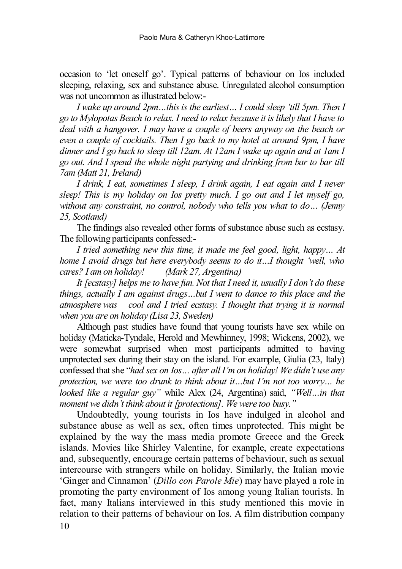occasion to 'let oneself go'. Typical patterns of behaviour on Ios included sleeping, relaxing, sex and substance abuse. Unregulated alcohol consumption was not uncommon as illustrated below:-

*I wake up around 2pm…this is the earliest… I could sleep 'till 5pm. Then I go to Mylopotas Beach to relax. I need to relax because it is likely that I have to deal with a hangover. I may have a couple of beers anyway on the beach or even a couple of cocktails. Then I go back to my hotel at around 9pm, I have dinner and I go back to sleep till 12am. At 12am I wake up again and at 1am I go out. And I spend the whole night partying and drinking from bar to bar till 7am (Matt 21, Ireland)*

*I drink, I eat, sometimes I sleep, I drink again, I eat again and I never sleep! This is my holiday on Ios pretty much. I go out and I let myself go, without any constraint, no control, nobody who tells you what to do… (Jenny 25, Scotland)*

The findings also revealed other forms of substance abuse such as ecstasy. The following participants confessed:-

*I tried something new this time, it made me feel good, light, happy… At home I avoid drugs but here everybody seems to do it…I thought 'well, who cares? I am on holiday! (Mark 27, Argentina)* 

*It [ecstasy] helps me to have fun. Not that I need it, usually I don't do these things, actually I am against drugs…but I went to dance to this place and the atmosphere was cool and I tried ecstasy. I thought that trying it is normal when you are on holiday (Lisa 23, Sweden)*

Although past studies have found that young tourists have sex while on holiday (Maticka-Tyndale, Herold and Mewhinney, 1998; Wickens, 2002), we were somewhat surprised when most participants admitted to having unprotected sex during their stay on the island. For example, Giulia (23, Italy) confessed that she "*had sex on Ios… after all I'm on holiday! We didn't use any protection, we were too drunk to think about it…but I'm not too worry… he looked like a regular guy"* while Alex (24, Argentina) said, *"Well…in that moment we didn't think about it [protections]. We were too busy."*

Undoubtedly, young tourists in Ios have indulged in alcohol and substance abuse as well as sex, often times unprotected. This might be explained by the way the mass media promote Greece and the Greek islands. Movies like Shirley Valentine, for example, create expectations and, subsequently, encourage certain patterns of behaviour, such as sexual intercourse with strangers while on holiday. Similarly, the Italian movie 'Ginger and Cinnamon' (*Dillo con Parole Mie*) may have played a role in promoting the party environment of Ios among young Italian tourists. In fact, many Italians interviewed in this study mentioned this movie in relation to their patterns of behaviour on Ios. A film distribution company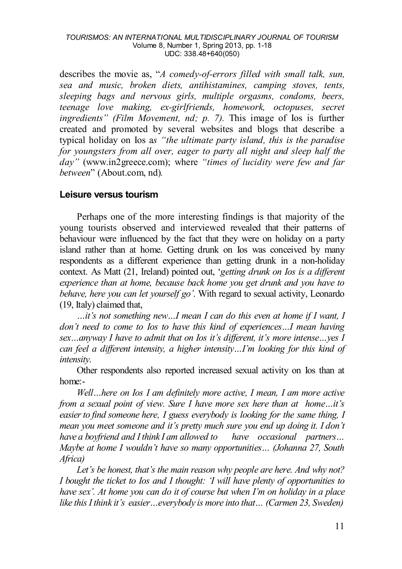describes the movie as, "*A comedy-of-errors filled with small talk, sun, sea and music, broken diets, antihistamines, camping stoves, tents, sleeping bags and nervous girls, multiple orgasms, condoms, beers, teenage love making, ex-girlfriends, homework, octopuses, secret ingredients" (Film Movement, nd; p. 7).* This image of Ios is further created and promoted by several websites and blogs that describe a typical holiday on Ios a*s "the ultimate party island, this is the paradise for youngsters from all over, eager to party all night and sleep half the day"* (www.in2greece.com); where *"times of lucidity were few and far between*" (About.com, nd)*.* 

### **Leisure versus tourism**

Perhaps one of the more interesting findings is that majority of the young tourists observed and interviewed revealed that their patterns of behaviour were influenced by the fact that they were on holiday on a party island rather than at home. Getting drunk on Ios was conceived by many respondents as a different experience than getting drunk in a non-holiday context. As Matt (21, Ireland) pointed out, '*getting drunk on Ios is a different experience than at home, because back home you get drunk and you have to behave, here you can let yourself go'*. With regard to sexual activity, Leonardo (19, Italy) claimed that,

*…it's not something new…I mean I can do this even at home if I want, I don't need to come to Ios to have this kind of experiences…I mean having sex…anyway I have to admit that on Ios it's different, it's more intense…yes I can feel a different intensity, a higher intensity…I'm looking for this kind of intensity*.

Other respondents also reported increased sexual activity on Ios than at home:-

*Well…here on Ios I am definitely more active, I mean, I am more active from a sexual point of view. Sure I have more sex here than at home…it's easier to find someone here, I guess everybody is looking for the same thing, I mean you meet someone and it's pretty much sure you end up doing it. I don't have a boyfriend and I think I am allowed to have occasional partners… Maybe at home I wouldn't have so many opportunities… (Johanna 27, South Africa)*

*Let's be honest, that's the main reason why people are here. And why not? I bought the ticket to Ios and I thought: 'I will have plenty of opportunities to have sex'. At home you can do it of course but when I'm on holiday in a place like this I think it's easier…everybody is more into that… (Carmen 23, Sweden)*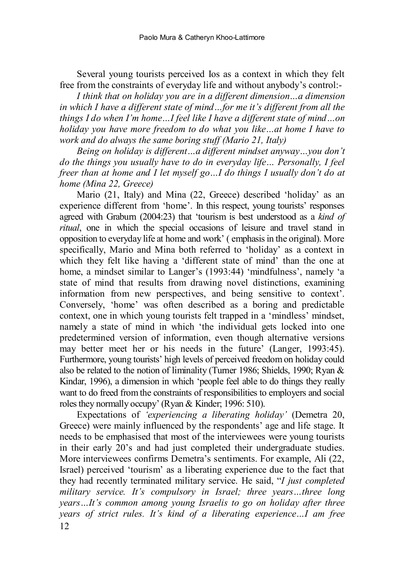Several young tourists perceived Ios as a context in which they felt free from the constraints of everyday life and without anybody's control:-

*I think that on holiday you are in a different dimension…a dimension in which I have a different state of mind…for me it's different from all the things I do when I'm home…I feel like I have a different state of mind…on holiday you have more freedom to do what you like…at home I have to work and do always the same boring stuff (Mario 21, Italy)*

*Being on holiday is different…a different mindset anyway…you don't do the things you usually have to do in everyday life… Personally, I feel freer than at home and I let myself go…I do things I usually don't do at home (Mina 22, Greece)*

Mario (21, Italy) and Mina (22, Greece) described 'holiday' as an experience different from 'home'. In this respect, young tourists' responses agreed with Graburn (2004:23) that 'tourism is best understood as a *kind of ritual*, one in which the special occasions of leisure and travel stand in opposition to everyday life at home and work' ( emphasis in the original). More specifically, Mario and Mina both referred to 'holiday' as a context in which they felt like having a 'different state of mind' than the one at home, a mindset similar to Langer's (1993:44) 'mindfulness', namely 'a state of mind that results from drawing novel distinctions, examining information from new perspectives, and being sensitive to context'. Conversely, 'home' was often described as a boring and predictable context, one in which young tourists felt trapped in a 'mindless' mindset, namely a state of mind in which 'the individual gets locked into one predetermined version of information, even though alternative versions may better meet her or his needs in the future' (Langer, 1993:45). Furthermore, young tourists' high levels of perceived freedom on holiday could also be related to the notion of liminality (Turner 1986; Shields, 1990; Ryan & Kindar, 1996), a dimension in which 'people feel able to do things they really want to do freed from the constraints of responsibilities to employers and social roles they normally occupy' (Ryan & Kinder; 1996: 510).

12 Expectations of *'experiencing a liberating holiday'* (Demetra 20, Greece) were mainly influenced by the respondents' age and life stage. It needs to be emphasised that most of the interviewees were young tourists in their early 20's and had just completed their undergraduate studies. More interviewees confirms Demetra's sentiments. For example, Ali (22, Israel) perceived 'tourism' as a liberating experience due to the fact that they had recently terminated military service. He said, "*I just completed military service. It's compulsory in Israel; three years…three long years…It's common among young Israelis to go on holiday after three years of strict rules. It's kind of a liberating experience…I am free*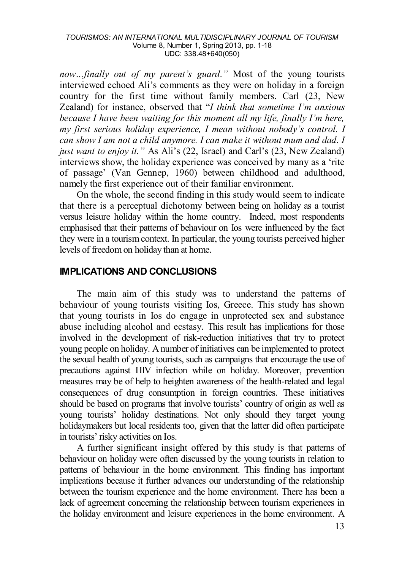*now…finally out of my parent's guard."* Most of the young tourists interviewed echoed Ali's comments as they were on holiday in a foreign country for the first time without family members. Carl (23, New Zealand) for instance, observed that "*I think that sometime I'm anxious because I have been waiting for this moment all my life, finally I'm here, my first serious holiday experience, I mean without nobody's control. I can show I am not a child anymore. I can make it without mum and dad. I just want to enjoy it."* As Ali's (22, Israel) and Carl's (23, New Zealand) interviews show, the holiday experience was conceived by many as a 'rite of passage' (Van Gennep, 1960) between childhood and adulthood, namely the first experience out of their familiar environment.

On the whole, the second finding in this study would seem to indicate that there is a perceptual dichotomy between being on holiday as a tourist versus leisure holiday within the home country. Indeed, most respondents emphasised that their patterns of behaviour on Ios were influenced by the fact they were in a tourism context. In particular, the young tourists perceived higher levels of freedom on holiday than at home.

### **IMPLICATIONS AND CONCLUSIONS**

The main aim of this study was to understand the patterns of behaviour of young tourists visiting Ios, Greece. This study has shown that young tourists in Ios do engage in unprotected sex and substance abuse including alcohol and ecstasy. This result has implications for those involved in the development of risk-reduction initiatives that try to protect young people on holiday. A number of initiatives can be implemented to protect the sexual health of young tourists, such as campaigns that encourage the use of precautions against HIV infection while on holiday. Moreover, prevention measures may be of help to heighten awareness of the health-related and legal consequences of drug consumption in foreign countries. These initiatives should be based on programs that involve tourists' country of origin as well as young tourists' holiday destinations. Not only should they target young holidaymakers but local residents too, given that the latter did often participate in tourists' risky activities on Ios.

A further significant insight offered by this study is that patterns of behaviour on holiday were often discussed by the young tourists in relation to patterns of behaviour in the home environment. This finding has important implications because it further advances our understanding of the relationship between the tourism experience and the home environment. There has been a lack of agreement concerning the relationship between tourism experiences in the holiday environment and leisure experiences in the home environment. A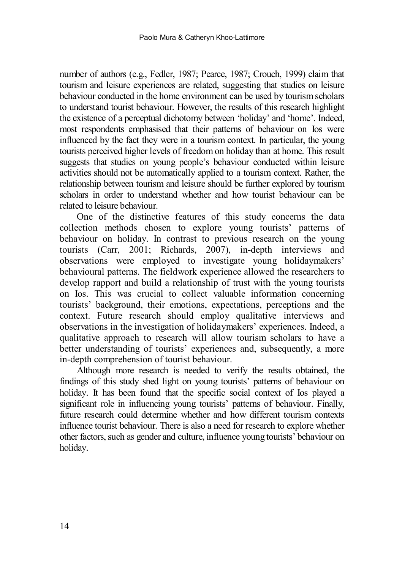number of authors (e.g., Fedler, 1987; Pearce, 1987; Crouch, 1999) claim that tourism and leisure experiences are related, suggesting that studies on leisure behaviour conducted in the home environment can be used by tourism scholars to understand tourist behaviour. However, the results of this research highlight the existence of a perceptual dichotomy between 'holiday' and 'home'. Indeed, most respondents emphasised that their patterns of behaviour on Ios were influenced by the fact they were in a tourism context. In particular, the young tourists perceived higher levels of freedom on holiday than at home. This result suggests that studies on young people's behaviour conducted within leisure activities should not be automatically applied to a tourism context. Rather, the relationship between tourism and leisure should be further explored by tourism scholars in order to understand whether and how tourist behaviour can be related to leisure behaviour.

One of the distinctive features of this study concerns the data collection methods chosen to explore young tourists' patterns of behaviour on holiday. In contrast to previous research on the young tourists (Carr, 2001; Richards, 2007), in-depth interviews and observations were employed to investigate young holidaymakers' behavioural patterns. The fieldwork experience allowed the researchers to develop rapport and build a relationship of trust with the young tourists on Ios. This was crucial to collect valuable information concerning tourists' background, their emotions, expectations, perceptions and the context. Future research should employ qualitative interviews and observations in the investigation of holidaymakers' experiences. Indeed, a qualitative approach to research will allow tourism scholars to have a better understanding of tourists' experiences and, subsequently, a more in-depth comprehension of tourist behaviour.

Although more research is needed to verify the results obtained, the findings of this study shed light on young tourists' patterns of behaviour on holiday. It has been found that the specific social context of Ios played a significant role in influencing young tourists' patterns of behaviour. Finally, future research could determine whether and how different tourism contexts influence tourist behaviour. There is also a need for research to explore whether other factors, such as gender and culture, influence young tourists' behaviour on holiday.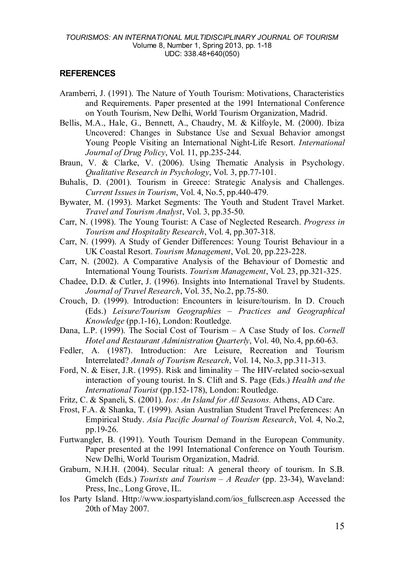### **REFERENCES**

- Aramberri, J. (1991). The Nature of Youth Tourism: Motivations, Characteristics and Requirements. Paper presented at the 1991 International Conference on Youth Tourism, New Delhi, World Tourism Organization, Madrid.
- Bellis, M.A., Hale, G., Bennett, A., Chaudry, M. & Kilfoyle, M. (2000). Ibiza Uncovered: Changes in Substance Use and Sexual Behavior amongst Young People Visiting an International Night-Life Resort. *International Journal of Drug Policy*, Vol. 11, pp.235-244.
- Braun, V. & Clarke, V. (2006). Using Thematic Analysis in Psychology. *Qualitative Research in Psychology*, Vol. 3, pp.77-101.
- Buhalis, D. (2001). Tourism in Greece: Strategic Analysis and Challenges. *Current Issues in Tourism*, Vol. 4, No.5, pp.440-479.
- Bywater, M. (1993). Market Segments: The Youth and Student Travel Market. *Travel and Tourism Analyst*, Vol. 3, pp.35-50.
- Carr, N. (1998). The Young Tourist: A Case of Neglected Research. *Progress in Tourism and Hospitality Research*, Vol. 4, pp.307-318.
- Carr, N. (1999). A Study of Gender Differences: Young Tourist Behaviour in a UK Coastal Resort. *Tourism Management*, Vol. 20, pp.223-228.
- Carr, N. (2002). A Comparative Analysis of the Behaviour of Domestic and International Young Tourists. *Tourism Management*, Vol. 23, pp.321-325.
- Chadee, D.D. & Cutler, J. (1996). Insights into International Travel by Students. *Journal of Travel Research*, Vol. 35, No.2, pp.75-80.
- Crouch, D. (1999). Introduction: Encounters in leisure/tourism. In D. Crouch (Eds.) *Leisure/Tourism Geographies – Practices and Geographical Knowledge* (pp.1-16), London: Routledge.
- Dana, L.P. (1999). The Social Cost of Tourism A Case Study of Ios. *Cornell Hotel and Restaurant Administration Quarterly*, Vol. 40, No.4, pp.60-63.
- Fedler, A. (1987). Introduction: Are Leisure, Recreation and Tourism Interrelated? *Annals of Tourism Research*, Vol. 14, No.3, pp.311-313.
- Ford, N. & Eiser, J.R. (1995). Risk and liminality The HIV-related socio-sexual interaction of young tourist. In S. Clift and S. Page (Eds.) *Health and the International Tourist* (pp.152-178), London: Routledge.
- Fritz, C. & Spaneli, S. (2001). *Ios: An Island for All Seasons.* Athens, AD Care.
- Frost, F.A. & Shanka, T. (1999). Asian Australian Student Travel Preferences: An Empirical Study. *Asia Pacific Journal of Tourism Research*, Vol. 4, No.2, pp.19-26.
- Furtwangler, B. (1991). Youth Tourism Demand in the European Community. Paper presented at the 1991 International Conference on Youth Tourism. New Delhi, World Tourism Organization, Madrid.
- Graburn, N.H.H. (2004). Secular ritual: A general theory of tourism. In S.B. Gmelch (Eds.) *Tourists and Tourism – A Reader* (pp. 23-34), Waveland: Press, Inc., Long Grove, IL.
- Ios Party Island. Http://www.iospartyisland.com/ios\_fullscreen.asp Accessed the 20th of May 2007.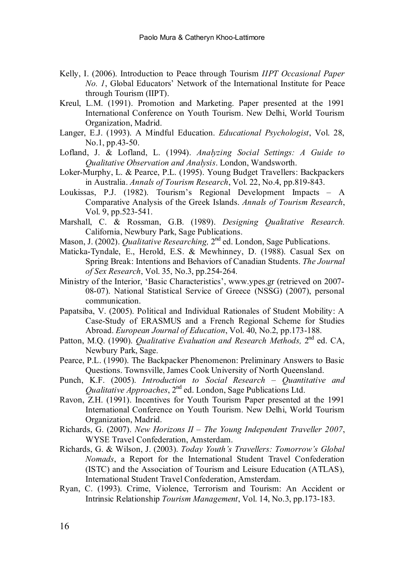- Kelly, I. (2006). Introduction to Peace through Tourism *IIPT Occasional Paper No. 1*, Global Educators' Network of the International Institute for Peace through Tourism (IIPT).
- Kreul, L.M. (1991). Promotion and Marketing. Paper presented at the 1991 International Conference on Youth Tourism. New Delhi, World Tourism Organization, Madrid.
- Langer, E.J. (1993). A Mindful Education. *Educational Psychologist*, Vol. 28, No.1, pp.43-50.
- Lofland, J. & Lofland, L. (1994). *Analyzing Social Settings: A Guide to Qualitative Observation and Analysis*. London, Wandsworth.
- Loker-Murphy, L. & Pearce, P.L. (1995). Young Budget Travellers: Backpackers in Australia. *Annals of Tourism Research*, Vol. 22, No.4, pp.819-843.
- Loukissas, P.J. (1982). Tourism's Regional Development Impacts A Comparative Analysis of the Greek Islands. *Annals of Tourism Research*, Vol. 9, pp.523-541.
- Marshall, C. & Rossman, G.B. (1989). *Designing Qualitative Research.* California, Newbury Park, Sage Publications.
- Mason, J. (2002). *Qualitative Researching,* 2nd ed. London, Sage Publications.
- Maticka-Tyndale, E., Herold, E.S. & Mewhinney, D. (1988). Casual Sex on Spring Break: Intentions and Behaviors of Canadian Students. *The Journal of Sex Research*, Vol. 35, No.3, pp.254-264.
- Ministry of the Interior, 'Basic Characteristics', www.ypes.gr (retrieved on 2007- 08-07). National Statistical Service of Greece (NSSG) (2007), personal communication.
- Papatsiba, V. (2005). Political and Individual Rationales of Student Mobility: A Case-Study of ERASMUS and a French Regional Scheme for Studies Abroad. *European Journal of Education*, Vol. 40, No.2, pp.173-188.
- Patton, M.O. (1990). *Qualitative Evaluation and Research Methods*, 2<sup>nd</sup> ed. CA, Newbury Park, Sage.
- Pearce, P.L. (1990). The Backpacker Phenomenon: Preliminary Answers to Basic Questions. Townsville, James Cook University of North Queensland.
- Punch, K.F. (2005). *Introduction to Social Research – Quantitative and Qualitative Approaches*, 2<sup>nd</sup> ed. London, Sage Publications Ltd.
- Ravon, Z.H. (1991). Incentives for Youth Tourism Paper presented at the 1991 International Conference on Youth Tourism. New Delhi, World Tourism Organization, Madrid.
- Richards, G. (2007). *New Horizons II – The Young Independent Traveller 2007*, WYSE Travel Confederation, Amsterdam.
- Richards, G. & Wilson, J. (2003). *Today Youth's Travellers: Tomorrow's Global Nomads*, a Report for the International Student Travel Confederation (ISTC) and the Association of Tourism and Leisure Education (ATLAS), International Student Travel Confederation, Amsterdam.
- Ryan, C. (1993). Crime, Violence, Terrorism and Tourism: An Accident or Intrinsic Relationship *Tourism Management*, Vol. 14, No.3, pp.173-183.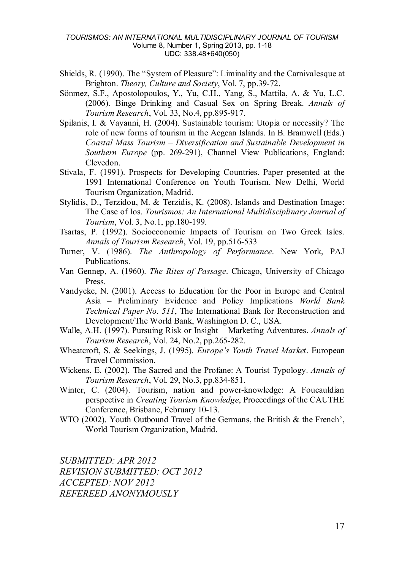- Shields, R. (1990). The "System of Pleasure": Liminality and the Carnivalesque at Brighton. *Theory, Culture and Society*, Vol. 7, pp.39-72.
- Sönmez, S.F., Apostolopoulos, Y., Yu, C.H., Yang, S., Mattila, A. & Yu, L.C. (2006). Binge Drinking and Casual Sex on Spring Break. *Annals of Tourism Research*, Vol. 33, No.4, pp.895-917.
- Spilanis, I. & Vayanni, H. (2004). Sustainable tourism: Utopia or necessity? The role of new forms of tourism in the Aegean Islands. In B. Bramwell (Eds.) *Coastal Mass Tourism – Diversification and Sustainable Development in Southern Europe* (pp. 269-291), Channel View Publications, England: Clevedon.
- Stivala, F. (1991). Prospects for Developing Countries. Paper presented at the 1991 International Conference on Youth Tourism. New Delhi, World Tourism Organization, Madrid.
- Stylidis, D., Terzidou, M. & Terzidis, K. (2008). Islands and Destination Image: The Case of Ios. *Tourismos: An International Multidisciplinary Journal of Tourism*, Vol. 3, No.1, pp.180-199.
- Tsartas, P. (1992). Socioeconomic Impacts of Tourism on Two Greek Isles. *Annals of Tourism Research*, Vol. 19, pp.516-533
- Turner, V. (1986). *The Anthropology of Performance*. New York, PAJ Publications.
- Van Gennep, A. (1960). *The Rites of Passage*. Chicago, University of Chicago Press.
- Vandycke, N. (2001). Access to Education for the Poor in Europe and Central Asia – Preliminary Evidence and Policy Implications *World Bank Technical Paper No. 511*, The International Bank for Reconstruction and Development/The World Bank, Washington D. C., USA.
- Walle, A.H. (1997). Pursuing Risk or Insight Marketing Adventures. *Annals of Tourism Research*, Vol. 24, No.2, pp.265-282.
- Wheatcroft, S. & Seekings, J. (1995). *Europe's Youth Travel Market*. European Travel Commission.
- Wickens, E. (2002). The Sacred and the Profane: A Tourist Typology. *Annals of Tourism Research*, Vol. 29, No.3, pp.834-851.
- Winter, C. (2004). Tourism, nation and power-knowledge: A Foucauldian perspective in *Creating Tourism Knowledge*, Proceedings of the CAUTHE Conference, Brisbane, February 10-13.
- WTO (2002). Youth Outbound Travel of the Germans, the British & the French'. World Tourism Organization, Madrid.

*SUBMITTED: APR 2012 REVISION SUBMITTED: OCT 2012 ACCEPTED: NOV 2012 REFEREED ANONYMOUSLY*